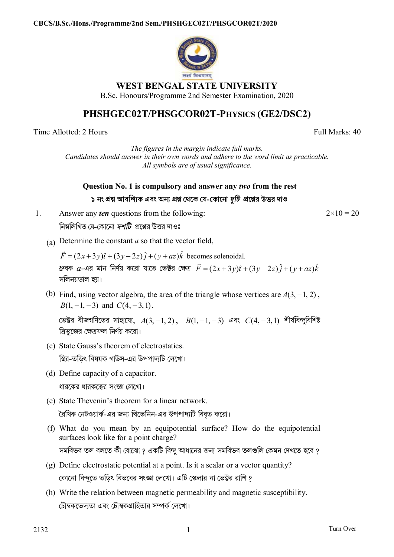

## **WEST BENGAL STATE UNIVERSITY**

B.Sc. Honours/Programme 2nd Semester Examination, 2020

## **PHSHGEC02T/PHSGCOR02T-PHYSICS (GE2/DSC2)**

Time Allotted: 2 Hours Full Marks: 40

*The figures in the margin indicate full marks. Candidates should answer in their own words and adhere to the word limit as practicable. All symbols are of usual significance.*

**Question No. 1 is compulsory and answer any** *two* **from the rest ১ নং pű আবিশ°ক এবং অন° pű থেক য-কােনা** *dিট* **pেűর উtর দাও**

1. Answer any *ten* questions from the following: নিম্নলিখিত যে-কোনো *দশটি প্রশ্নের উত্তর* দাওঃ

 $2 \times 10 = 20$ 

(a) Determine the constant *a* so that the vector field,

 $\vec{F} = (2x+3y)\hat{i} + (3y-2z)\hat{j} + (y+az)\hat{k}$  becomes solenoidal.  $x$ বক  $a$ -এর মান নির্ণয় করো যাতে ভেক্টর ক্ষেত্র  $\vec{F} = (2x+3y)\hat{i} + (3y-2z)\hat{j} + (y+az)\hat{k}$ সিলনয়ডাল হয়।

(b) Find, using vector algebra, the area of the triangle whose vertices are  $A(3, -1, 2)$ ,  $B(1, -1, -3)$  and  $C(4, -3, 1)$ .

ভেক্টর বীজগণিতের সাহায্যে,  $A(3, -1, 2)$ ,  $B(1, -1, -3)$  এবং  $C(4, -3, 1)$  শীর্ষবিন্দুবিশিষ্ট ত্রিভজের ক্ষেত্রফল নির্ণয় করো।

(c) State Gauss's theorem of electrostatics.

িsর-তিড়ৎ িবষয়ক গাউস-এর উপপাদয্িট েলেখা।

(d) Define capacity of a capacitor.

ধারকের ধারকত্বের সংজ্ঞা লেখাে।

(e) State Thevenin's theorem for a linear network.

রৈখিক নেটওয়ার্ক-এর জন্য থিভেনিন-এর উপপাদ্যটি বিবৃত করো।

- (f) What do you mean by an equipotential surface? How do the equipotential surfaces look like for a point charge? সমবিভব তল বলতে কী বােঝাে ? একটি বিন্দু আধানের জন্য সমবিভব তলগুলি কেমন দেখতে হবে ?
- (g) Define electrostatic potential at a point. Is it a scalar or a vector quantity? কোনো বিন্দুতে তড়িৎ বিভবের সংজ্ঞা লেখো। এটি স্কেলার না ভেক্টর রাশি ?
- (h) Write the relation between magnetic permeability and magnetic susceptibility. টৌম্বকভেদতো এবং টৌম্বকগ্রাহিতার সম্পর্ক লেখো।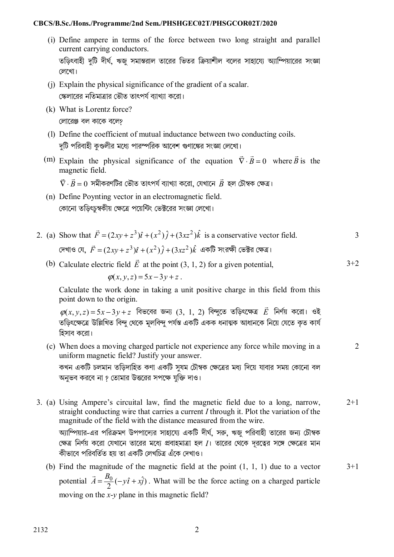## **CBCS/B.Sc./Hons./Programme/2nd Sem./PHSHGEC02T/PHSGCOR02T/2020**

- (i) Define ampere in terms of the force between two long straight and parallel current carrying conductors. তড়িৎবাহী দুটি দীর্ঘ, ঋজু সমান্তরাল তারের ভিতর ক্রিয়াশীল বলের সাহায্যে অ্যাম্পিয়ারের সংজ্ঞা েলেখা।
- (j) Explain the physical significance of the gradient of a scalar. স্কেলারের নতিমাত্রার ভৌত তাৎপর্য ব্যাখ্যা করো।
- (k) What is Lorentz force? লোরেঞ্জ বল কাকে বলে?
- (l) Define the coefficient of mutual inductance between two conducting coils. দটি পরিবাহী কণ্ডলীর মধ্যে পারস্পরিক আবেশ গুণাঙ্কের সংজ্ঞা লেখাে।
- (m) Explain the physical significance of the equation  $\vec{\nabla} \cdot \vec{B} = 0$  where  $\vec{B}$  is the magnetic field.

 $\vec{\nabla}\cdot\vec{B}=0$  সমীকরণটির ভৌত তাৎপর্য ব্যাখ্যা করো, যেখানে  $\vec{B}$  হল চৌম্বক ক্ষেত্র।

- (n) Define Poynting vector in an electromagnetic field. কোনো তডিৎচুম্বকীয় ক্ষেত্রে পয়েন্টিং ভেক্টরের সংজ্ঞা লেখো।
- 2. (a) Show that  $\vec{F} = (2xy + z^3)\hat{i} + (x^2)\hat{j} + (3xz^2)\hat{k}$  is a conservative vector field. দেখাও যে,  $\vec{F} = (2xy + z^3)\hat{\iota} + (x^2)\hat{\jmath} + (3xz^2)\hat{k}$  একটি সংরক্ষী ভেক্টর ক্ষেত্র। 3

 $3+2$ 

 $\overline{2}$ 

(b) Calculate electric field  $\vec{E}$  at the point (3, 1, 2) for a given potential,

 $\varphi(x, y, z) = 5x - 3y + z$ .

Calculate the work done in taking a unit positive charge in this field from this point down to the origin.

 $\varphi(x,y,z)\!=\!5x\!-\!3y\!+\!z$  বিভবের জন্য (3, 1, 2) বিন্দুতে তড়িৎক্ষেত্র  $\vec{E}$  নির্ণয় করো। ওই তডিৎক্ষেত্রে উল্লিখিত বিন্দ থেকে মলবিন্দ পর্যন্ত একটি একক ধনাত্মক আধানকে নিয়ে যেতে কত কার্য িহসাব কেরা।

(c) When does a moving charged particle not experience any force while moving in a uniform magnetic field? Justify your answer.

কখন একটি চলমান তড়িদাহিত কণা একটি সুষম চৌম্বক ক্ষেত্রের মধ্য দিয়ে যাবার সময় কোনো বল অনুভব করবে না ? তোমার উত্তরের সপক্ষে যুক্তি দাও।

- 3. (a) Using Ampere's circuital law, find the magnetic field due to a long, narrow, straight conducting wire that carries a current *I* through it. Plot the variation of the magnitude of the field with the distance measured from the wire. অ্যাম্পিয়ার-এর পরিক্রমণ উপপাদ্যের সাহায্যে একটি দীর্ঘ, সরু, ঋজু পরিবাহী তারের জন্য চৌম্বক ক্ষেত্র নির্ণয় করাে যেখানে তারের মধ্যে প্রবাহমাত্রা হল *I*। তারের থেকে দূরত্বের সঙ্গে ক্ষেত্রের মান কীভাবে পরিবর্তিত হয় তা একটি লেখচিত্র এঁকে দেখাও।  $2+1$ 
	- (b) Find the magnitude of the magnetic field at the point (1, 1, 1) due to a vector potential  $\vec{A} = \frac{B_0}{2}(-y\hat{i} + x\hat{j})$ . What will be the force acting on a charged particle moving on the *x*-*y* plane in this magnetic field?  $3+1$